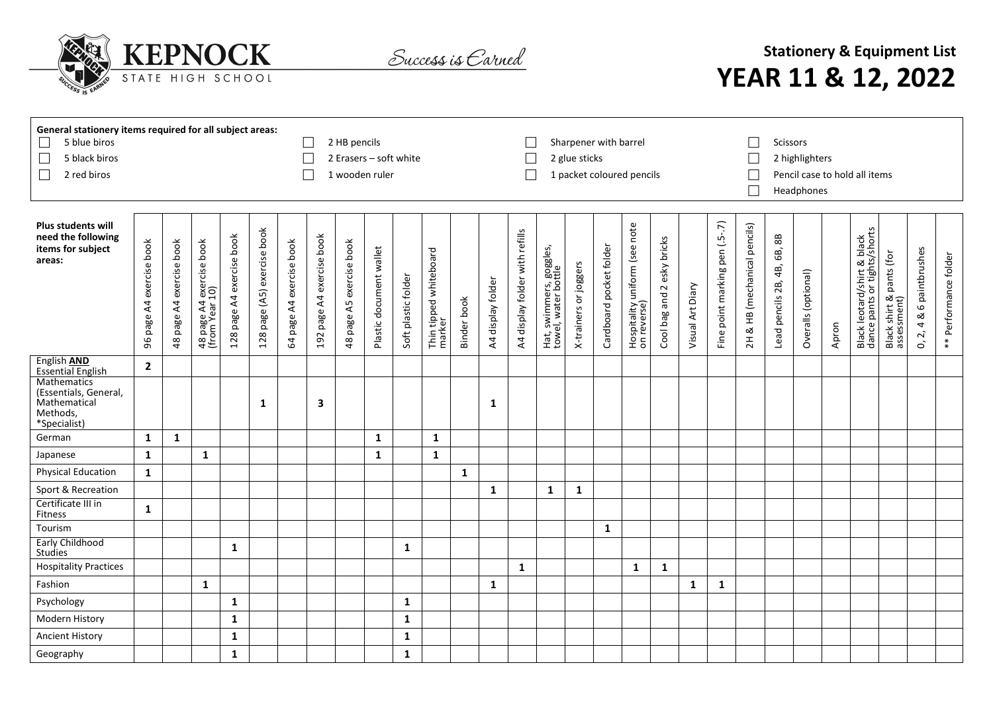

Success is Carned

## **Stationery & Equipment List YEAR 11 & 12, 2022**

| 5 blue biros<br>5 black biros<br>$\Box$<br>2 red biros                           | General stationery items required for all subject areas:<br>2 HB pencils<br>2 Erasers - soft white<br>1 wooden ruler |                                |                                            |                              |                                |                                |                              |                                           |                         |                     |                                  |              |                   |                                |                                                | Sharpener with barrel<br>2 glue sticks |                         | 1 packet coloured pencils                    |                                             | $\Box$           | <b>Scissors</b><br>2 highlighters<br>Pencil case to hold all items<br>Headphones |                                               |                                               |                     |       |                                                             |                                              |                                                  |                       |
|----------------------------------------------------------------------------------|----------------------------------------------------------------------------------------------------------------------|--------------------------------|--------------------------------------------|------------------------------|--------------------------------|--------------------------------|------------------------------|-------------------------------------------|-------------------------|---------------------|----------------------------------|--------------|-------------------|--------------------------------|------------------------------------------------|----------------------------------------|-------------------------|----------------------------------------------|---------------------------------------------|------------------|----------------------------------------------------------------------------------|-----------------------------------------------|-----------------------------------------------|---------------------|-------|-------------------------------------------------------------|----------------------------------------------|--------------------------------------------------|-----------------------|
| <b>Plus students will</b><br>need the following<br>items for subject<br>areas:   | 96 page A4 exercise book                                                                                             | exercise book<br>page A4<br>48 | 48 page A4 exercise book<br>(from Year 10) | page A4 exercise book<br>128 | page (A5) exercise book<br>128 | exercise book<br>page A4<br>64 | page A4 exercise book<br>192 | exercise book<br>page A5<br>$\frac{8}{4}$ | Plastic document wallet | Soft plastic folder | Thin tipped whiteboard<br>marker | Binder book  | A4 display folder | A4 display folder with refills | Hat, swimmers, goggles,<br>towel, water bottle | X-trainers or joggers                  | Cardboard pocket folder | Hospitality uniform (see note<br>on reverse) | esky bricks<br>and <sub>2</sub><br>Cool bag | Visual Art Diary | Fine point marking pen (.5-.7)                                                   | & HB (mechanical pencils)<br>$\overline{2}$ H | $_{\rm 88}$<br>6B,<br>4B,<br>Lead pencils 2B, | Overalls (optional) | Apron | Black leotard/shirt & black<br>dance pants or tights/shorts | pants (for<br>Black shirt & p<br>assessment) | 6 paintbrushes<br>త<br>4<br>$\overline{2}$<br>C, | ** Performance folder |
| English AND<br><b>Essential English</b>                                          | $\overline{2}$                                                                                                       |                                |                                            |                              |                                |                                |                              |                                           |                         |                     |                                  |              |                   |                                |                                                |                                        |                         |                                              |                                             |                  |                                                                                  |                                               |                                               |                     |       |                                                             |                                              |                                                  |                       |
| Mathematics<br>(Essentials, General,<br>Mathematical<br>Methods,<br>*Specialist) |                                                                                                                      |                                |                                            |                              | 1                              |                                | 3                            |                                           |                         |                     |                                  |              | 1                 |                                |                                                |                                        |                         |                                              |                                             |                  |                                                                                  |                                               |                                               |                     |       |                                                             |                                              |                                                  |                       |
| German                                                                           | $\mathbf 1$                                                                                                          | $\mathbf{1}$                   |                                            |                              |                                |                                |                              |                                           | 1                       |                     | $\mathbf{1}$                     |              |                   |                                |                                                |                                        |                         |                                              |                                             |                  |                                                                                  |                                               |                                               |                     |       |                                                             |                                              |                                                  |                       |
| Japanese                                                                         | $\mathbf{1}$                                                                                                         |                                | $\mathbf{1}$                               |                              |                                |                                |                              |                                           | 1                       |                     | $\mathbf{1}$                     |              |                   |                                |                                                |                                        |                         |                                              |                                             |                  |                                                                                  |                                               |                                               |                     |       |                                                             |                                              |                                                  |                       |
| <b>Physical Education</b>                                                        | $\mathbf{1}$                                                                                                         |                                |                                            |                              |                                |                                |                              |                                           |                         |                     |                                  | $\mathbf{1}$ |                   |                                |                                                |                                        |                         |                                              |                                             |                  |                                                                                  |                                               |                                               |                     |       |                                                             |                                              |                                                  |                       |
| Sport & Recreation                                                               |                                                                                                                      |                                |                                            |                              |                                |                                |                              |                                           |                         |                     |                                  |              | $\mathbf{1}$      |                                | 1                                              | 1                                      |                         |                                              |                                             |                  |                                                                                  |                                               |                                               |                     |       |                                                             |                                              |                                                  |                       |
| Certificate III in<br>Fitness                                                    | $\mathbf{1}$                                                                                                         |                                |                                            |                              |                                |                                |                              |                                           |                         |                     |                                  |              |                   |                                |                                                |                                        |                         |                                              |                                             |                  |                                                                                  |                                               |                                               |                     |       |                                                             |                                              |                                                  |                       |
| Tourism                                                                          |                                                                                                                      |                                |                                            |                              |                                |                                |                              |                                           |                         |                     |                                  |              |                   |                                |                                                |                                        | $\mathbf{1}$            |                                              |                                             |                  |                                                                                  |                                               |                                               |                     |       |                                                             |                                              |                                                  |                       |
| <b>Early Childhood</b><br>Studies                                                |                                                                                                                      |                                |                                            | 1                            |                                |                                |                              |                                           |                         | 1                   |                                  |              |                   |                                |                                                |                                        |                         |                                              |                                             |                  |                                                                                  |                                               |                                               |                     |       |                                                             |                                              |                                                  |                       |
| <b>Hospitality Practices</b>                                                     |                                                                                                                      |                                |                                            |                              |                                |                                |                              |                                           |                         |                     |                                  |              |                   | $\mathbf{1}$                   |                                                |                                        |                         | 1                                            | $\mathbf{1}$                                |                  |                                                                                  |                                               |                                               |                     |       |                                                             |                                              |                                                  |                       |
| Fashion                                                                          |                                                                                                                      |                                | 1                                          |                              |                                |                                |                              |                                           |                         |                     |                                  |              | 1                 |                                |                                                |                                        |                         |                                              |                                             | 1                | $\mathbf{1}$                                                                     |                                               |                                               |                     |       |                                                             |                                              |                                                  |                       |
| Psychology                                                                       |                                                                                                                      |                                |                                            | $\mathbf{1}$                 |                                |                                |                              |                                           |                         | $\mathbf{1}$        |                                  |              |                   |                                |                                                |                                        |                         |                                              |                                             |                  |                                                                                  |                                               |                                               |                     |       |                                                             |                                              |                                                  |                       |
| Modern History                                                                   |                                                                                                                      |                                |                                            | $\mathbf{1}$                 |                                |                                |                              |                                           |                         | $\mathbf{1}$        |                                  |              |                   |                                |                                                |                                        |                         |                                              |                                             |                  |                                                                                  |                                               |                                               |                     |       |                                                             |                                              |                                                  |                       |
| <b>Ancient History</b>                                                           |                                                                                                                      |                                |                                            | $\mathbf{1}$                 |                                |                                |                              |                                           |                         | $\mathbf{1}$        |                                  |              |                   |                                |                                                |                                        |                         |                                              |                                             |                  |                                                                                  |                                               |                                               |                     |       |                                                             |                                              |                                                  |                       |
| Geography                                                                        |                                                                                                                      |                                |                                            | $\mathbf{1}$                 |                                |                                |                              |                                           |                         | $\mathbf{1}$        |                                  |              |                   |                                |                                                |                                        |                         |                                              |                                             |                  |                                                                                  |                                               |                                               |                     |       |                                                             |                                              |                                                  |                       |